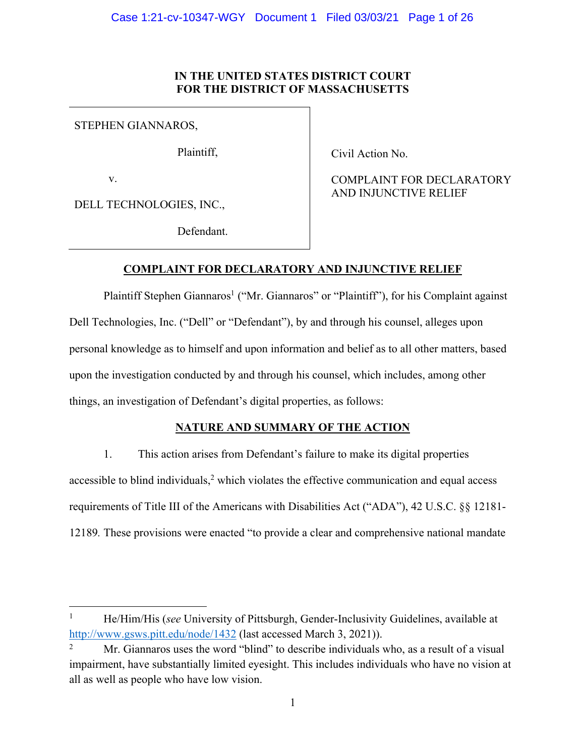# **IN THE UNITED STATES DISTRICT COURT FOR THE DISTRICT OF MASSACHUSETTS**

STEPHEN GIANNAROS,

Plaintiff,

v.

DELL TECHNOLOGIES, INC.,

Defendant.

Civil Action No.

COMPLAINT FOR DECLARATORY AND INJUNCTIVE RELIEF

# **COMPLAINT FOR DECLARATORY AND INJUNCTIVE RELIEF**

Plaintiff Stephen Giannaros<sup>1</sup> ("Mr. Giannaros" or "Plaintiff"), for his Complaint against Dell Technologies, Inc. ("Dell" or "Defendant"), by and through his counsel, alleges upon personal knowledge as to himself and upon information and belief as to all other matters, based upon the investigation conducted by and through his counsel, which includes, among other things, an investigation of Defendant's digital properties, as follows:

## **NATURE AND SUMMARY OF THE ACTION**

1. This action arises from Defendant's failure to make its digital properties accessible to blind individuals, $<sup>2</sup>$  which violates the effective communication and equal access</sup> requirements of Title III of the Americans with Disabilities Act ("ADA"), 42 U.S.C. §§ 12181- 12189*.* These provisions were enacted "to provide a clear and comprehensive national mandate

<sup>&</sup>lt;sup>1</sup> He/Him/His (*see* University of Pittsburgh, Gender-Inclusivity Guidelines, available at http://www.gsws.pitt.edu/node/1432 (last accessed March 3, 2021)).

<sup>&</sup>lt;sup>2</sup> Mr. Giannaros uses the word "blind" to describe individuals who, as a result of a visual impairment, have substantially limited eyesight. This includes individuals who have no vision at all as well as people who have low vision.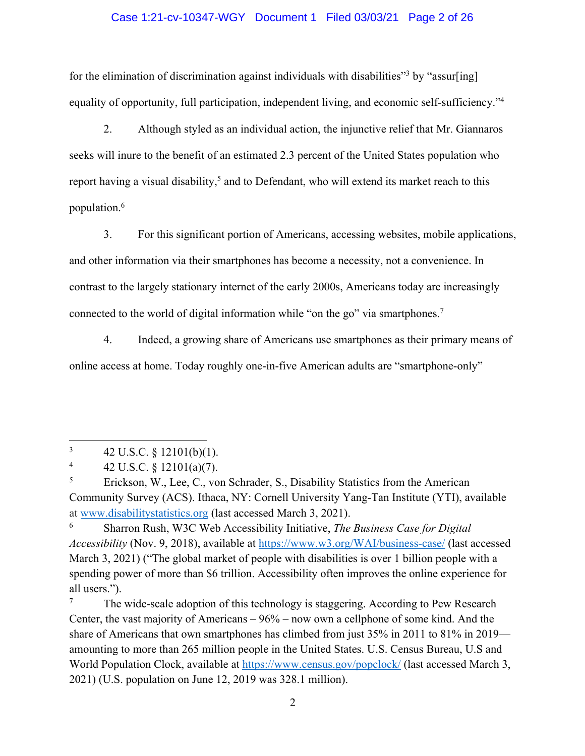## Case 1:21-cv-10347-WGY Document 1 Filed 03/03/21 Page 2 of 26

for the elimination of discrimination against individuals with disabilities<sup>33</sup> by "assur[ing] equality of opportunity, full participation, independent living, and economic self-sufficiency."4

2. Although styled as an individual action, the injunctive relief that Mr. Giannaros seeks will inure to the benefit of an estimated 2.3 percent of the United States population who report having a visual disability,<sup>5</sup> and to Defendant, who will extend its market reach to this population.6

3. For this significant portion of Americans, accessing websites, mobile applications, and other information via their smartphones has become a necessity, not a convenience. In contrast to the largely stationary internet of the early 2000s, Americans today are increasingly connected to the world of digital information while "on the go" via smartphones.<sup>7</sup>

4. Indeed, a growing share of Americans use smartphones as their primary means of online access at home. Today roughly one-in-five American adults are "smartphone-only"

The wide-scale adoption of this technology is staggering. According to Pew Research Center, the vast majority of Americans – 96% – now own a cellphone of some kind. And the share of Americans that own smartphones has climbed from just 35% in 2011 to 81% in 2019 amounting to more than 265 million people in the United States. U.S. Census Bureau, U.S and World Population Clock, available at https://www.census.gov/popclock/ (last accessed March 3, 2021) (U.S. population on June 12, 2019 was 328.1 million).

 $3 \t42 \text{ U.S.C.} \t§ 12101(b)(1).$ 

<sup>4 42</sup> U.S.C. §  $12101(a)(7)$ .

<sup>5</sup> Erickson, W., Lee, C., von Schrader, S., Disability Statistics from the American Community Survey (ACS). Ithaca, NY: Cornell University Yang-Tan Institute (YTI), available at www.disabilitystatistics.org (last accessed March 3, 2021).

<sup>6</sup> Sharron Rush, W3C Web Accessibility Initiative, *The Business Case for Digital Accessibility* (Nov. 9, 2018), available at https://www.w3.org/WAI/business-case/ (last accessed March 3, 2021) ("The global market of people with disabilities is over 1 billion people with a spending power of more than \$6 trillion. Accessibility often improves the online experience for all users.").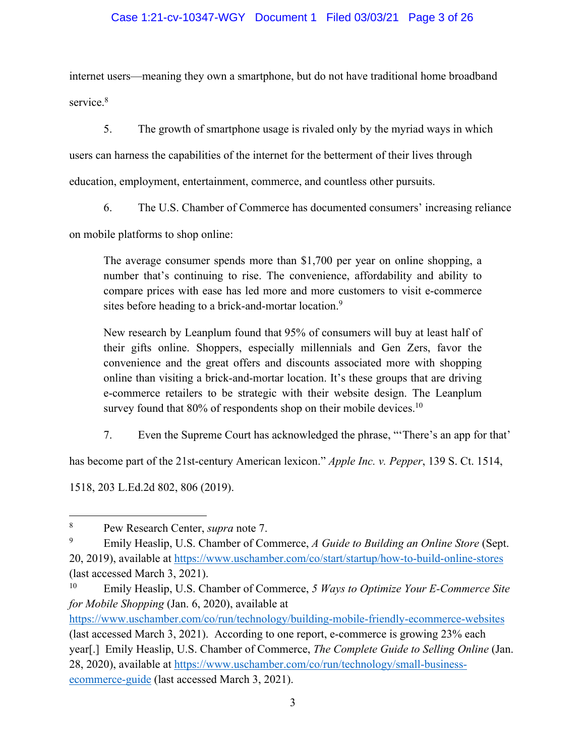## Case 1:21-cv-10347-WGY Document 1 Filed 03/03/21 Page 3 of 26

internet users—meaning they own a smartphone, but do not have traditional home broadband service. 8

5. The growth of smartphone usage is rivaled only by the myriad ways in which users can harness the capabilities of the internet for the betterment of their lives through education, employment, entertainment, commerce, and countless other pursuits.

6. The U.S. Chamber of Commerce has documented consumers' increasing reliance

on mobile platforms to shop online:

The average consumer spends more than \$1,700 per year on online shopping, a number that's continuing to rise. The convenience, affordability and ability to compare prices with ease has led more and more customers to visit e-commerce sites before heading to a brick-and-mortar location.<sup>9</sup>

New research by Leanplum found that 95% of consumers will buy at least half of their gifts online. Shoppers, especially millennials and Gen Zers, favor the convenience and the great offers and discounts associated more with shopping online than visiting a brick-and-mortar location. It's these groups that are driving e-commerce retailers to be strategic with their website design. The Leanplum survey found that 80% of respondents shop on their mobile devices.<sup>10</sup>

7. Even the Supreme Court has acknowledged the phrase, "'There's an app for that'

has become part of the 21st-century American lexicon." *Apple Inc. v. Pepper*, 139 S. Ct. 1514,

1518, 203 L.Ed.2d 802, 806 (2019).

<sup>8</sup> Pew Research Center, *supra* note 7.

<sup>9</sup> Emily Heaslip, U.S. Chamber of Commerce, *A Guide to Building an Online Store* (Sept. 20, 2019), available at https://www.uschamber.com/co/start/startup/how-to-build-online-stores (last accessed March 3, 2021).

<sup>10</sup> Emily Heaslip, U.S. Chamber of Commerce, *5 Ways to Optimize Your E-Commerce Site for Mobile Shopping* (Jan. 6, 2020), available at

https://www.uschamber.com/co/run/technology/building-mobile-friendly-ecommerce-websites (last accessed March 3, 2021). According to one report, e-commerce is growing 23% each year[.] Emily Heaslip, U.S. Chamber of Commerce, *The Complete Guide to Selling Online* (Jan. 28, 2020), available at https://www.uschamber.com/co/run/technology/small-businessecommerce-guide (last accessed March 3, 2021).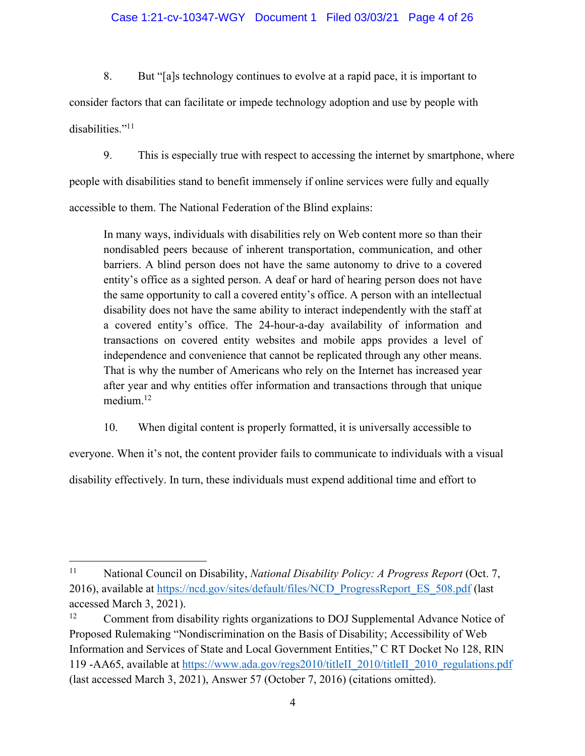## Case 1:21-cv-10347-WGY Document 1 Filed 03/03/21 Page 4 of 26

8. But "[a]s technology continues to evolve at a rapid pace, it is important to consider factors that can facilitate or impede technology adoption and use by people with disabilities."<sup>11</sup>

9. This is especially true with respect to accessing the internet by smartphone, where people with disabilities stand to benefit immensely if online services were fully and equally accessible to them. The National Federation of the Blind explains:

In many ways, individuals with disabilities rely on Web content more so than their nondisabled peers because of inherent transportation, communication, and other barriers. A blind person does not have the same autonomy to drive to a covered entity's office as a sighted person. A deaf or hard of hearing person does not have the same opportunity to call a covered entity's office. A person with an intellectual disability does not have the same ability to interact independently with the staff at a covered entity's office. The 24-hour-a-day availability of information and transactions on covered entity websites and mobile apps provides a level of independence and convenience that cannot be replicated through any other means. That is why the number of Americans who rely on the Internet has increased year after year and why entities offer information and transactions through that unique medium. 12

10. When digital content is properly formatted, it is universally accessible to

everyone. When it's not, the content provider fails to communicate to individuals with a visual

disability effectively. In turn, these individuals must expend additional time and effort to

<sup>11</sup> National Council on Disability, *National Disability Policy: A Progress Report* (Oct. 7, 2016), available at https://ncd.gov/sites/default/files/NCD\_ProgressReport\_ES\_508.pdf (last accessed March 3, 2021).

<sup>&</sup>lt;sup>12</sup> Comment from disability rights organizations to DOJ Supplemental Advance Notice of Proposed Rulemaking "Nondiscrimination on the Basis of Disability; Accessibility of Web Information and Services of State and Local Government Entities," C RT Docket No 128, RIN 119 -AA65, available at https://www.ada.gov/regs2010/titleII\_2010/titleII\_2010\_regulations.pdf (last accessed March 3, 2021), Answer 57 (October 7, 2016) (citations omitted).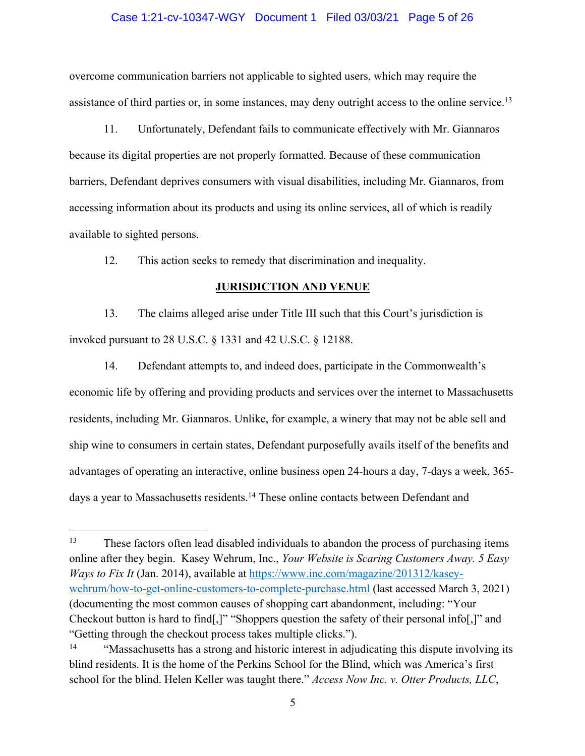#### Case 1:21-cv-10347-WGY Document 1 Filed 03/03/21 Page 5 of 26

overcome communication barriers not applicable to sighted users, which may require the assistance of third parties or, in some instances, may deny outright access to the online service.<sup>13</sup>

11. Unfortunately, Defendant fails to communicate effectively with Mr. Giannaros because its digital properties are not properly formatted. Because of these communication barriers, Defendant deprives consumers with visual disabilities, including Mr. Giannaros, from accessing information about its products and using its online services, all of which is readily available to sighted persons.

12. This action seeks to remedy that discrimination and inequality.

#### **JURISDICTION AND VENUE**

13. The claims alleged arise under Title III such that this Court's jurisdiction is invoked pursuant to 28 U.S.C. § 1331 and 42 U.S.C. § 12188.

14. Defendant attempts to, and indeed does, participate in the Commonwealth's economic life by offering and providing products and services over the internet to Massachusetts residents, including Mr. Giannaros. Unlike, for example, a winery that may not be able sell and ship wine to consumers in certain states, Defendant purposefully avails itself of the benefits and advantages of operating an interactive, online business open 24-hours a day, 7-days a week, 365 days a year to Massachusetts residents.<sup>14</sup> These online contacts between Defendant and

<sup>&</sup>lt;sup>13</sup> These factors often lead disabled individuals to abandon the process of purchasing items online after they begin. Kasey Wehrum, Inc., *Your Website is Scaring Customers Away. 5 Easy Ways to Fix It* (Jan. 2014), available at https://www.inc.com/magazine/201312/kaseywehrum/how-to-get-online-customers-to-complete-purchase.html (last accessed March 3, 2021) (documenting the most common causes of shopping cart abandonment, including: "Your Checkout button is hard to find[,]" "Shoppers question the safety of their personal info[,]" and "Getting through the checkout process takes multiple clicks.").

<sup>&</sup>lt;sup>14</sup> "Massachusetts has a strong and historic interest in adjudicating this dispute involving its blind residents. It is the home of the Perkins School for the Blind, which was America's first school for the blind. Helen Keller was taught there." *Access Now Inc. v. Otter Products, LLC*,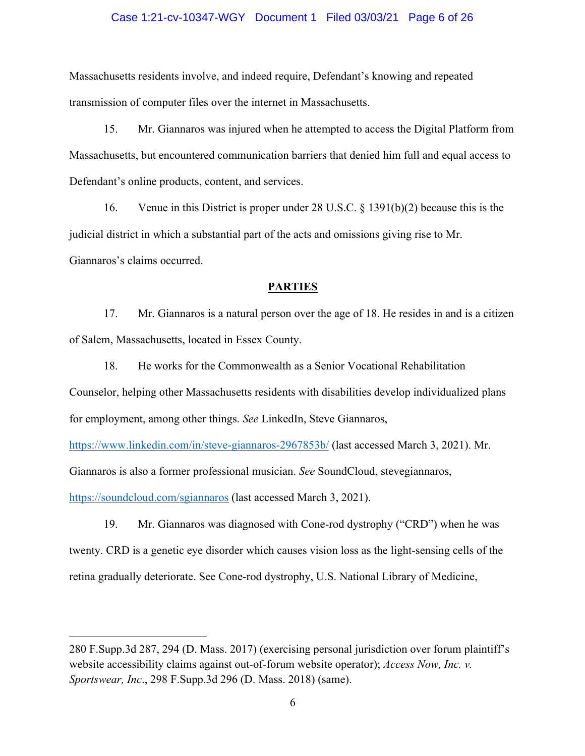#### Case 1:21-cv-10347-WGY Document 1 Filed 03/03/21 Page 6 of 26

Massachusetts residents involve, and indeed require, Defendant's knowing and repeated transmission of computer files over the internet in Massachusetts.

15. Mr. Giannaros was injured when he attempted to access the Digital Platform from Massachusetts, but encountered communication barriers that denied him full and equal access to Defendant's online products, content, and services.

16. Venue in this District is proper under 28 U.S.C. § 1391(b)(2) because this is the judicial district in which a substantial part of the acts and omissions giving rise to Mr. Giannaros's claims occurred.

#### **PARTIES**

17. Mr. Giannaros is a natural person over the age of 18. He resides in and is a citizen of Salem, Massachusetts, located in Essex County.

18. He works for the Commonwealth as a Senior Vocational Rehabilitation Counselor, helping other Massachusetts residents with disabilities develop individualized plans for employment, among other things. *See* LinkedIn, Steve Giannaros,

https://www.linkedin.com/in/steve-giannaros-2967853b/ (last accessed March 3, 2021). Mr.

Giannaros is also a former professional musician. *See* SoundCloud, stevegiannaros,

https://soundcloud.com/sgiannaros (last accessed March 3, 2021).

19. Mr. Giannaros was diagnosed with Cone-rod dystrophy ("CRD") when he was twenty. CRD is a genetic eye disorder which causes vision loss as the light-sensing cells of the retina gradually deteriorate. See Cone-rod dystrophy, U.S. National Library of Medicine,

<sup>280</sup> F.Supp.3d 287, 294 (D. Mass. 2017) (exercising personal jurisdiction over forum plaintiff's website accessibility claims against out-of-forum website operator); *Access Now, Inc. v. Sportswear, Inc*., 298 F.Supp.3d 296 (D. Mass. 2018) (same).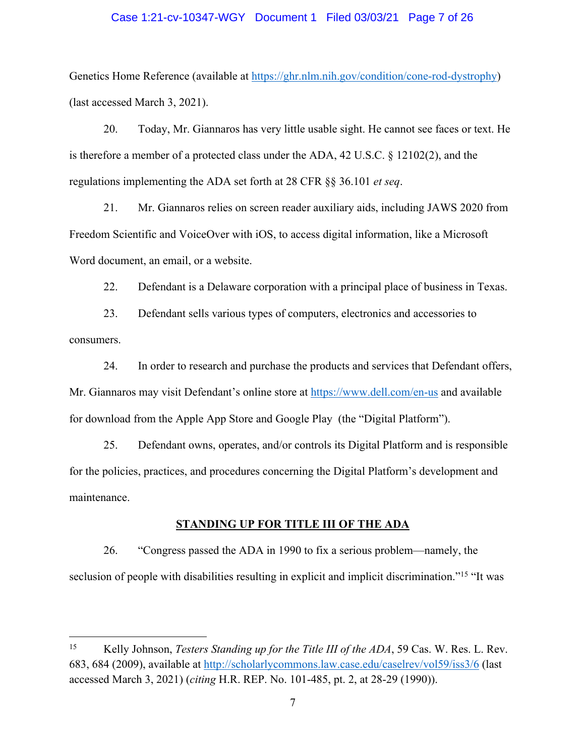#### Case 1:21-cv-10347-WGY Document 1 Filed 03/03/21 Page 7 of 26

Genetics Home Reference (available at https://ghr.nlm.nih.gov/condition/cone-rod-dystrophy) (last accessed March 3, 2021).

20. Today, Mr. Giannaros has very little usable sight. He cannot see faces or text. He is therefore a member of a protected class under the ADA, 42 U.S.C. § 12102(2), and the regulations implementing the ADA set forth at 28 CFR §§ 36.101 *et seq*.

21. Mr. Giannaros relies on screen reader auxiliary aids, including JAWS 2020 from Freedom Scientific and VoiceOver with iOS, to access digital information, like a Microsoft Word document, an email, or a website.

22. Defendant is a Delaware corporation with a principal place of business in Texas.

23. Defendant sells various types of computers, electronics and accessories to consumers.

24. In order to research and purchase the products and services that Defendant offers, Mr. Giannaros may visit Defendant's online store at https://www.dell.com/en-us and available for download from the Apple App Store and Google Play (the "Digital Platform").

25. Defendant owns, operates, and/or controls its Digital Platform and is responsible for the policies, practices, and procedures concerning the Digital Platform's development and maintenance.

#### **STANDING UP FOR TITLE III OF THE ADA**

26. "Congress passed the ADA in 1990 to fix a serious problem—namely, the seclusion of people with disabilities resulting in explicit and implicit discrimination."<sup>15</sup> "It was

<sup>15</sup> Kelly Johnson, *Testers Standing up for the Title III of the ADA*, 59 Cas. W. Res. L. Rev. 683, 684 (2009), available at http://scholarlycommons.law.case.edu/caselrev/vol59/iss3/6 (last accessed March 3, 2021) (*citing* H.R. REP. No. 101-485, pt. 2, at 28-29 (1990)).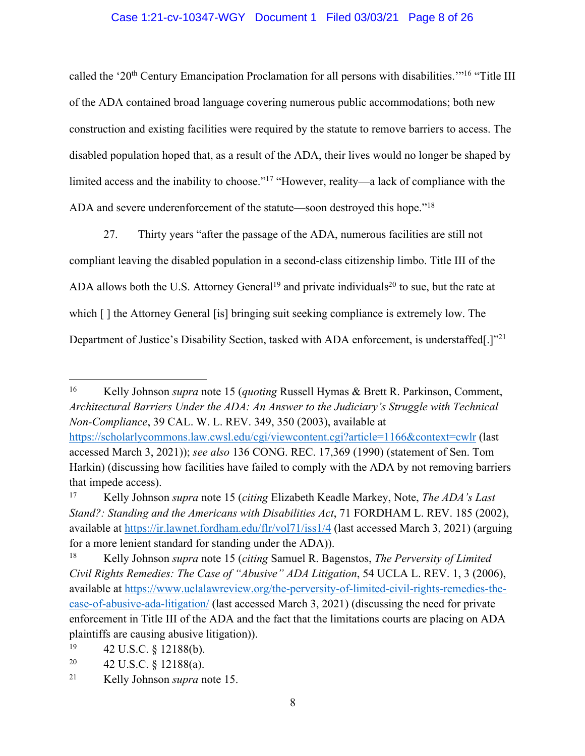## Case 1:21-cv-10347-WGY Document 1 Filed 03/03/21 Page 8 of 26

called the '20<sup>th</sup> Century Emancipation Proclamation for all persons with disabilities.'"<sup>16</sup> "Title III of the ADA contained broad language covering numerous public accommodations; both new construction and existing facilities were required by the statute to remove barriers to access. The disabled population hoped that, as a result of the ADA, their lives would no longer be shaped by limited access and the inability to choose."17 "However, reality—a lack of compliance with the ADA and severe underenforcement of the statute—soon destroyed this hope."18

27. Thirty years "after the passage of the ADA, numerous facilities are still not compliant leaving the disabled population in a second-class citizenship limbo. Title III of the ADA allows both the U.S. Attorney General<sup>19</sup> and private individuals<sup>20</sup> to sue, but the rate at which  $\lceil \cdot \rceil$  the Attorney General [is] bringing suit seeking compliance is extremely low. The Department of Justice's Disability Section, tasked with ADA enforcement, is understaffed.]"<sup>21</sup>

that impede access).

<sup>16</sup> Kelly Johnson *supra* note 15 (*quoting* Russell Hymas & Brett R. Parkinson, Comment, *Architectural Barriers Under the ADA: An Answer to the Judiciary's Struggle with Technical Non-Compliance*, 39 CAL. W. L. REV. 349, 350 (2003), available at https://scholarlycommons.law.cwsl.edu/cgi/viewcontent.cgi?article=1166&context=cwlr (last accessed March 3, 2021)); *see also* 136 CONG. REC. 17,369 (1990) (statement of Sen. Tom Harkin) (discussing how facilities have failed to comply with the ADA by not removing barriers

<sup>17</sup> Kelly Johnson *supra* note 15 (*citing* Elizabeth Keadle Markey, Note, *The ADA's Last Stand?: Standing and the Americans with Disabilities Act*, 71 FORDHAM L. REV. 185 (2002), available at https://ir.lawnet.fordham.edu/flr/vol71/iss1/4 (last accessed March 3, 2021) (arguing for a more lenient standard for standing under the ADA)).

<sup>18</sup> Kelly Johnson *supra* note 15 (*citing* Samuel R. Bagenstos, *The Perversity of Limited Civil Rights Remedies: The Case of "Abusive" ADA Litigation*, 54 UCLA L. REV. 1, 3 (2006), available at https://www.uclalawreview.org/the-perversity-of-limited-civil-rights-remedies-thecase-of-abusive-ada-litigation/ (last accessed March 3, 2021) (discussing the need for private enforcement in Title III of the ADA and the fact that the limitations courts are placing on ADA plaintiffs are causing abusive litigation)).

 $19$  42 U.S.C. § 12188(b).

<sup>&</sup>lt;sup>20</sup> 42 U.S.C. § 12188(a).

<sup>21</sup> Kelly Johnson *supra* note 15.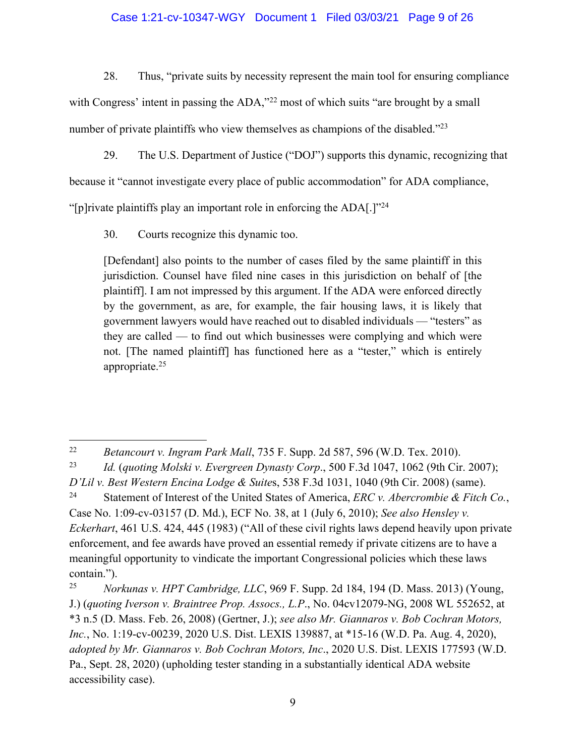## Case 1:21-cv-10347-WGY Document 1 Filed 03/03/21 Page 9 of 26

28. Thus, "private suits by necessity represent the main tool for ensuring compliance

with Congress' intent in passing the ADA,<sup>32</sup> most of which suits "are brought by a small number of private plaintiffs who view themselves as champions of the disabled."<sup>23</sup>

29. The U.S. Department of Justice ("DOJ") supports this dynamic, recognizing that

because it "cannot investigate every place of public accommodation" for ADA compliance,

"[p]rivate plaintiffs play an important role in enforcing the ADA[.]"<sup>24</sup>

30. Courts recognize this dynamic too.

[Defendant] also points to the number of cases filed by the same plaintiff in this jurisdiction. Counsel have filed nine cases in this jurisdiction on behalf of [the plaintiff]. I am not impressed by this argument. If the ADA were enforced directly by the government, as are, for example, the fair housing laws, it is likely that government lawyers would have reached out to disabled individuals — "testers" as they are called — to find out which businesses were complying and which were not. [The named plaintiff] has functioned here as a "tester," which is entirely appropriate.25

<sup>25</sup> *Norkunas v. HPT Cambridge, LLC*, 969 F. Supp. 2d 184, 194 (D. Mass. 2013) (Young, J.) (*quoting Iverson v. Braintree Prop. Assocs., L.P*., No. 04cv12079-NG, 2008 WL 552652, at \*3 n.5 (D. Mass. Feb. 26, 2008) (Gertner, J.); *see also Mr. Giannaros v. Bob Cochran Motors, Inc.*, No. 1:19-cv-00239, 2020 U.S. Dist. LEXIS 139887, at \*15-16 (W.D. Pa. Aug. 4, 2020), *adopted by Mr. Giannaros v. Bob Cochran Motors, Inc*., 2020 U.S. Dist. LEXIS 177593 (W.D. Pa., Sept. 28, 2020) (upholding tester standing in a substantially identical ADA website accessibility case).

<sup>22</sup> *Betancourt v. Ingram Park Mall*, 735 F. Supp. 2d 587, 596 (W.D. Tex. 2010).

<sup>23</sup> *Id.* (*quoting Molski v. Evergreen Dynasty Corp*., 500 F.3d 1047, 1062 (9th Cir. 2007); *D'Lil v. Best Western Encina Lodge & Suite*s, 538 F.3d 1031, 1040 (9th Cir. 2008) (same).

<sup>24</sup> Statement of Interest of the United States of America, *ERC v. Abercrombie & Fitch Co.*, Case No. 1:09-cv-03157 (D. Md.), ECF No. 38, at 1 (July 6, 2010); *See also Hensley v. Eckerhart*, 461 U.S. 424, 445 (1983) ("All of these civil rights laws depend heavily upon private enforcement, and fee awards have proved an essential remedy if private citizens are to have a meaningful opportunity to vindicate the important Congressional policies which these laws contain.").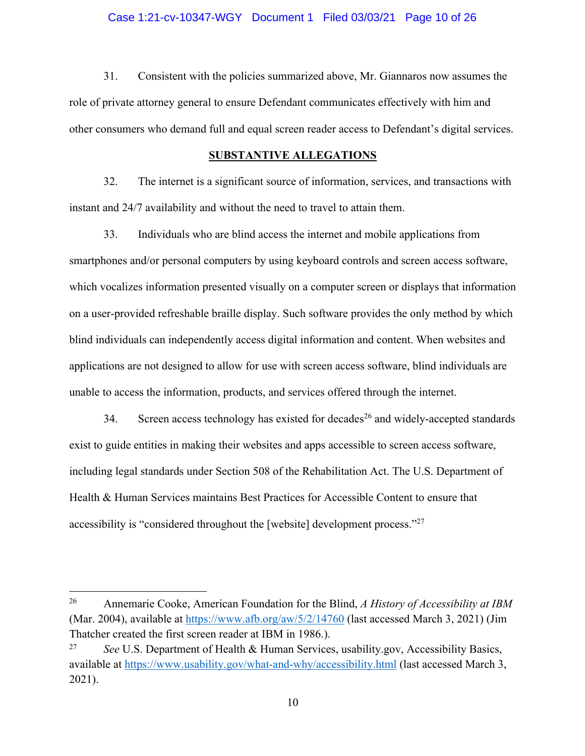### Case 1:21-cv-10347-WGY Document 1 Filed 03/03/21 Page 10 of 26

31. Consistent with the policies summarized above, Mr. Giannaros now assumes the role of private attorney general to ensure Defendant communicates effectively with him and other consumers who demand full and equal screen reader access to Defendant's digital services.

#### **SUBSTANTIVE ALLEGATIONS**

32. The internet is a significant source of information, services, and transactions with instant and 24/7 availability and without the need to travel to attain them.

33. Individuals who are blind access the internet and mobile applications from smartphones and/or personal computers by using keyboard controls and screen access software, which vocalizes information presented visually on a computer screen or displays that information on a user-provided refreshable braille display. Such software provides the only method by which blind individuals can independently access digital information and content. When websites and applications are not designed to allow for use with screen access software, blind individuals are unable to access the information, products, and services offered through the internet.

34. Screen access technology has existed for decades<sup>26</sup> and widely-accepted standards exist to guide entities in making their websites and apps accessible to screen access software, including legal standards under Section 508 of the Rehabilitation Act. The U.S. Department of Health & Human Services maintains Best Practices for Accessible Content to ensure that accessibility is "considered throughout the [website] development process."27

<sup>26</sup> Annemarie Cooke, American Foundation for the Blind, *A History of Accessibility at IBM*  (Mar. 2004), available at  $\frac{https://www.afb.org/aw/5/2/14760}{https://www.afb.org/aw/5/2/14760}$  (last accessed March 3, 2021) (Jim Thatcher created the first screen reader at IBM in 1986.).

<sup>27</sup> *See* U.S. Department of Health & Human Services, usability.gov, Accessibility Basics, available at https://www.usability.gov/what-and-why/accessibility.html (last accessed March 3, 2021).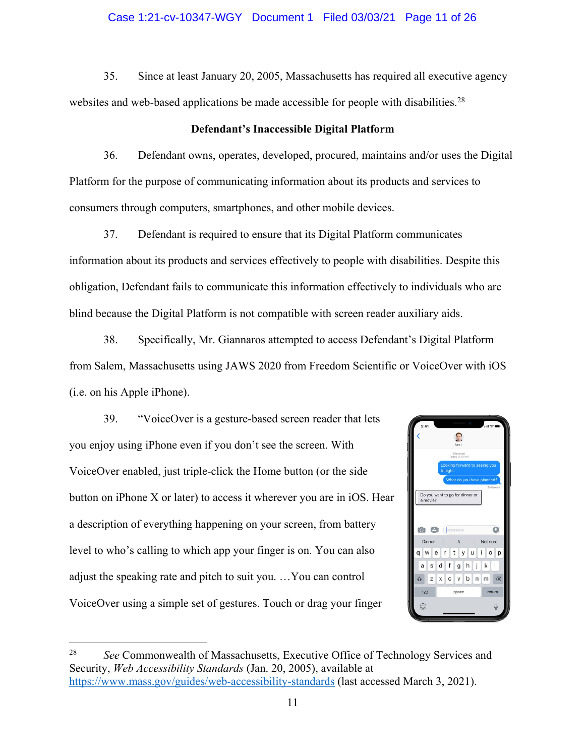## Case 1:21-cv-10347-WGY Document 1 Filed 03/03/21 Page 11 of 26

35. Since at least January 20, 2005, Massachusetts has required all executive agency websites and web-based applications be made accessible for people with disabilities.<sup>28</sup>

## **Defendant's Inaccessible Digital Platform**

36. Defendant owns, operates, developed, procured, maintains and/or uses the Digital Platform for the purpose of communicating information about its products and services to consumers through computers, smartphones, and other mobile devices.

37. Defendant is required to ensure that its Digital Platform communicates information about its products and services effectively to people with disabilities. Despite this obligation, Defendant fails to communicate this information effectively to individuals who are blind because the Digital Platform is not compatible with screen reader auxiliary aids.

38. Specifically, Mr. Giannaros attempted to access Defendant's Digital Platform from Salem, Massachusetts using JAWS 2020 from Freedom Scientific or VoiceOver with iOS (i.e. on his Apple iPhone).

39. "VoiceOver is a gesture-based screen reader that lets you enjoy using iPhone even if you don't see the screen. With VoiceOver enabled, just triple-click the Home button (or the side button on iPhone X or later) to access it wherever you are in iOS. Hear a description of everything happening on your screen, from battery level to who's calling to which app your finger is on. You can also adjust the speaking rate and pitch to suit you. …You can control VoiceOver using a simple set of gestures. Touch or drag your finger



<sup>28</sup> *See* Commonwealth of Massachusetts, Executive Office of Technology Services and Security, *Web Accessibility Standards* (Jan. 20, 2005), available at https://www.mass.gov/guides/web-accessibility-standards (last accessed March 3, 2021).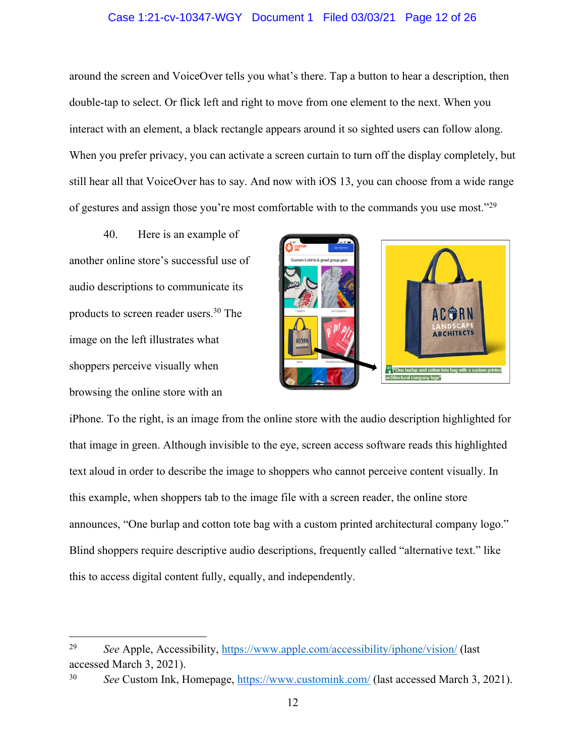## Case 1:21-cv-10347-WGY Document 1 Filed 03/03/21 Page 12 of 26

around the screen and VoiceOver tells you what's there. Tap a button to hear a description, then double-tap to select. Or flick left and right to move from one element to the next. When you interact with an element, a black rectangle appears around it so sighted users can follow along. When you prefer privacy, you can activate a screen curtain to turn off the display completely, but still hear all that VoiceOver has to say. And now with iOS 13, you can choose from a wide range of gestures and assign those you're most comfortable with to the commands you use most."29

40. Here is an example of another online store's successful use of audio descriptions to communicate its products to screen reader users.30 The image on the left illustrates what shoppers perceive visually when browsing the online store with an



iPhone. To the right, is an image from the online store with the audio description highlighted for that image in green. Although invisible to the eye, screen access software reads this highlighted text aloud in order to describe the image to shoppers who cannot perceive content visually. In this example, when shoppers tab to the image file with a screen reader, the online store announces, "One burlap and cotton tote bag with a custom printed architectural company logo." Blind shoppers require descriptive audio descriptions, frequently called "alternative text." like this to access digital content fully, equally, and independently.

<sup>29</sup> *See* Apple, Accessibility, https://www.apple.com/accessibility/iphone/vision/ (last accessed March 3, 2021).

<sup>30</sup> *See* Custom Ink, Homepage, https://www.customink.com/ (last accessed March 3, 2021).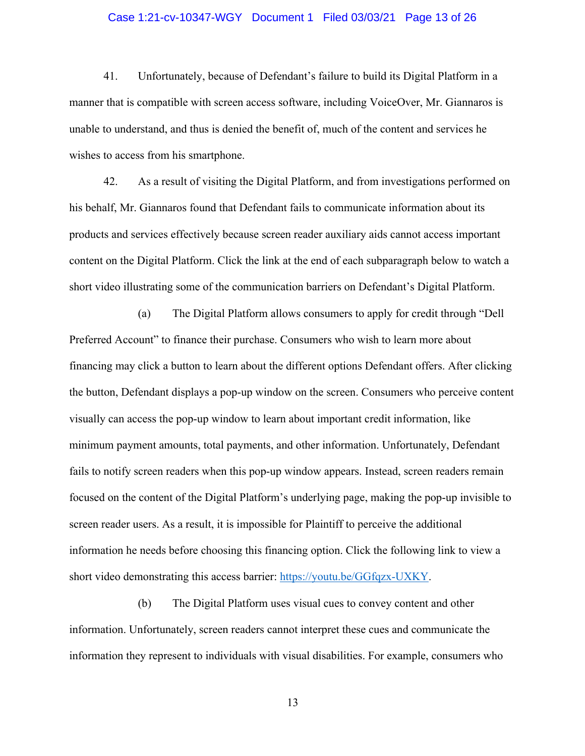### Case 1:21-cv-10347-WGY Document 1 Filed 03/03/21 Page 13 of 26

41. Unfortunately, because of Defendant's failure to build its Digital Platform in a manner that is compatible with screen access software, including VoiceOver, Mr. Giannaros is unable to understand, and thus is denied the benefit of, much of the content and services he wishes to access from his smartphone.

42. As a result of visiting the Digital Platform, and from investigations performed on his behalf, Mr. Giannaros found that Defendant fails to communicate information about its products and services effectively because screen reader auxiliary aids cannot access important content on the Digital Platform. Click the link at the end of each subparagraph below to watch a short video illustrating some of the communication barriers on Defendant's Digital Platform.

(a) The Digital Platform allows consumers to apply for credit through "Dell Preferred Account" to finance their purchase. Consumers who wish to learn more about financing may click a button to learn about the different options Defendant offers. After clicking the button, Defendant displays a pop-up window on the screen. Consumers who perceive content visually can access the pop-up window to learn about important credit information, like minimum payment amounts, total payments, and other information. Unfortunately, Defendant fails to notify screen readers when this pop-up window appears. Instead, screen readers remain focused on the content of the Digital Platform's underlying page, making the pop-up invisible to screen reader users. As a result, it is impossible for Plaintiff to perceive the additional information he needs before choosing this financing option. Click the following link to view a short video demonstrating this access barrier: https://youtu.be/GGfqzx-UXKY.

(b) The Digital Platform uses visual cues to convey content and other information. Unfortunately, screen readers cannot interpret these cues and communicate the information they represent to individuals with visual disabilities. For example, consumers who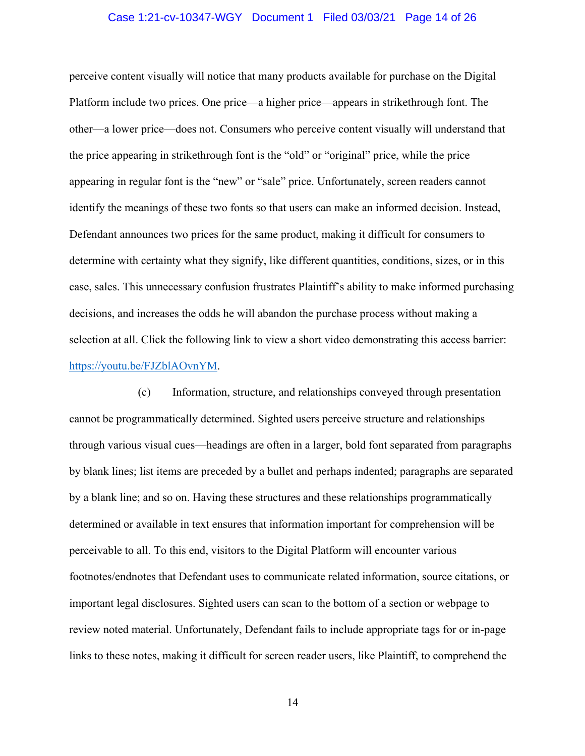#### Case 1:21-cv-10347-WGY Document 1 Filed 03/03/21 Page 14 of 26

perceive content visually will notice that many products available for purchase on the Digital Platform include two prices. One price—a higher price—appears in strikethrough font. The other—a lower price—does not. Consumers who perceive content visually will understand that the price appearing in strikethrough font is the "old" or "original" price, while the price appearing in regular font is the "new" or "sale" price. Unfortunately, screen readers cannot identify the meanings of these two fonts so that users can make an informed decision. Instead, Defendant announces two prices for the same product, making it difficult for consumers to determine with certainty what they signify, like different quantities, conditions, sizes, or in this case, sales. This unnecessary confusion frustrates Plaintiff's ability to make informed purchasing decisions, and increases the odds he will abandon the purchase process without making a selection at all. Click the following link to view a short video demonstrating this access barrier: https://youtu.be/FJZblAOvnYM.

(c) Information, structure, and relationships conveyed through presentation cannot be programmatically determined. Sighted users perceive structure and relationships through various visual cues—headings are often in a larger, bold font separated from paragraphs by blank lines; list items are preceded by a bullet and perhaps indented; paragraphs are separated by a blank line; and so on. Having these structures and these relationships programmatically determined or available in text ensures that information important for comprehension will be perceivable to all. To this end, visitors to the Digital Platform will encounter various footnotes/endnotes that Defendant uses to communicate related information, source citations, or important legal disclosures. Sighted users can scan to the bottom of a section or webpage to review noted material. Unfortunately, Defendant fails to include appropriate tags for or in-page links to these notes, making it difficult for screen reader users, like Plaintiff, to comprehend the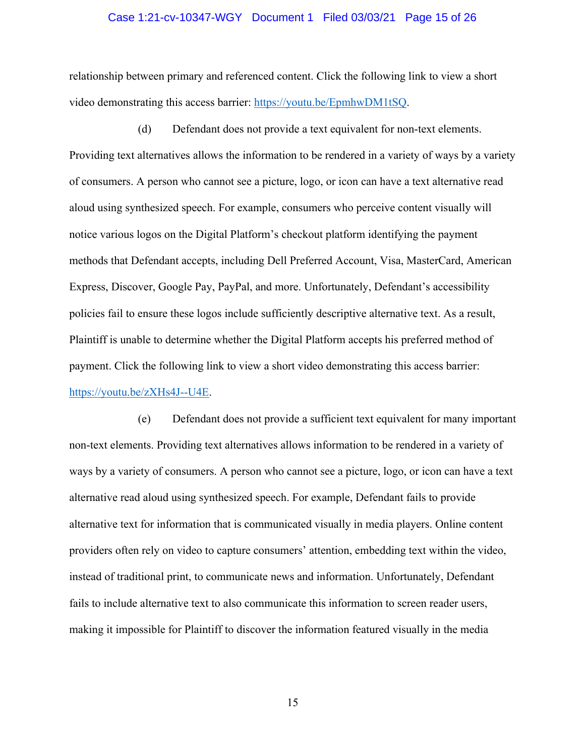#### Case 1:21-cv-10347-WGY Document 1 Filed 03/03/21 Page 15 of 26

relationship between primary and referenced content. Click the following link to view a short video demonstrating this access barrier: https://youtu.be/EpmhwDM1tSQ.

(d) Defendant does not provide a text equivalent for non-text elements. Providing text alternatives allows the information to be rendered in a variety of ways by a variety of consumers. A person who cannot see a picture, logo, or icon can have a text alternative read aloud using synthesized speech. For example, consumers who perceive content visually will notice various logos on the Digital Platform's checkout platform identifying the payment methods that Defendant accepts, including Dell Preferred Account, Visa, MasterCard, American Express, Discover, Google Pay, PayPal, and more. Unfortunately, Defendant's accessibility policies fail to ensure these logos include sufficiently descriptive alternative text. As a result, Plaintiff is unable to determine whether the Digital Platform accepts his preferred method of payment. Click the following link to view a short video demonstrating this access barrier: https://youtu.be/zXHs4J--U4E.

(e) Defendant does not provide a sufficient text equivalent for many important non-text elements. Providing text alternatives allows information to be rendered in a variety of ways by a variety of consumers. A person who cannot see a picture, logo, or icon can have a text alternative read aloud using synthesized speech. For example, Defendant fails to provide alternative text for information that is communicated visually in media players. Online content providers often rely on video to capture consumers' attention, embedding text within the video, instead of traditional print, to communicate news and information. Unfortunately, Defendant fails to include alternative text to also communicate this information to screen reader users, making it impossible for Plaintiff to discover the information featured visually in the media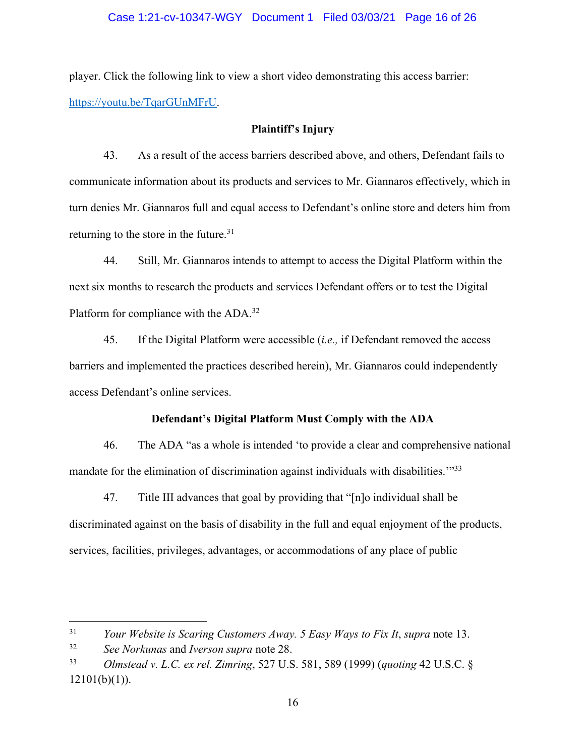## Case 1:21-cv-10347-WGY Document 1 Filed 03/03/21 Page 16 of 26

player. Click the following link to view a short video demonstrating this access barrier: https://youtu.be/TqarGUnMFrU.

## **Plaintiff's Injury**

43. As a result of the access barriers described above, and others, Defendant fails to communicate information about its products and services to Mr. Giannaros effectively, which in turn denies Mr. Giannaros full and equal access to Defendant's online store and deters him from returning to the store in the future.<sup>31</sup>

44. Still, Mr. Giannaros intends to attempt to access the Digital Platform within the next six months to research the products and services Defendant offers or to test the Digital Platform for compliance with the ADA.<sup>32</sup>

45. If the Digital Platform were accessible (*i.e.,* if Defendant removed the access barriers and implemented the practices described herein), Mr. Giannaros could independently access Defendant's online services.

## **Defendant's Digital Platform Must Comply with the ADA**

46. The ADA "as a whole is intended 'to provide a clear and comprehensive national mandate for the elimination of discrimination against individuals with disabilities.<sup>"33</sup>

47. Title III advances that goal by providing that "[n]o individual shall be discriminated against on the basis of disability in the full and equal enjoyment of the products, services, facilities, privileges, advantages, or accommodations of any place of public

<sup>31</sup> *Your Website is Scaring Customers Away. 5 Easy Ways to Fix It*, *supra* note 13.

<sup>32</sup> *See Norkunas* and *Iverson supra* note 28.

<sup>33</sup> *Olmstead v. L.C. ex rel. Zimring*, 527 U.S. 581, 589 (1999) (*quoting* 42 U.S.C. §  $12101(b)(1)$ ).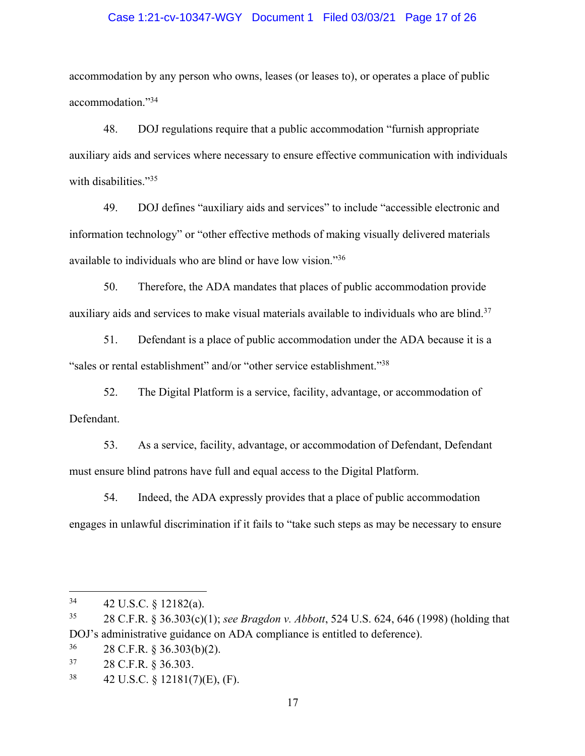## Case 1:21-cv-10347-WGY Document 1 Filed 03/03/21 Page 17 of 26

accommodation by any person who owns, leases (or leases to), or operates a place of public accommodation."34

48. DOJ regulations require that a public accommodation "furnish appropriate auxiliary aids and services where necessary to ensure effective communication with individuals with disabilities."<sup>35</sup>

49. DOJ defines "auxiliary aids and services" to include "accessible electronic and information technology" or "other effective methods of making visually delivered materials available to individuals who are blind or have low vision."36

50. Therefore, the ADA mandates that places of public accommodation provide auxiliary aids and services to make visual materials available to individuals who are blind.<sup>37</sup>

51. Defendant is a place of public accommodation under the ADA because it is a "sales or rental establishment" and/or "other service establishment."38

52. The Digital Platform is a service, facility, advantage, or accommodation of Defendant.

53. As a service, facility, advantage, or accommodation of Defendant, Defendant must ensure blind patrons have full and equal access to the Digital Platform.

54. Indeed, the ADA expressly provides that a place of public accommodation engages in unlawful discrimination if it fails to "take such steps as may be necessary to ensure

<sup>34</sup> 42 U.S.C. § 12182(a).

<sup>35</sup> 28 C.F.R. § 36.303(c)(1); *see Bragdon v. Abbott*, 524 U.S. 624, 646 (1998) (holding that DOJ's administrative guidance on ADA compliance is entitled to deference).

 $36$  28 C.F.R. § 36.303(b)(2).

<sup>37</sup> 28 C.F.R. § 36.303.

 $38$  42 U.S.C. § 12181(7)(E), (F).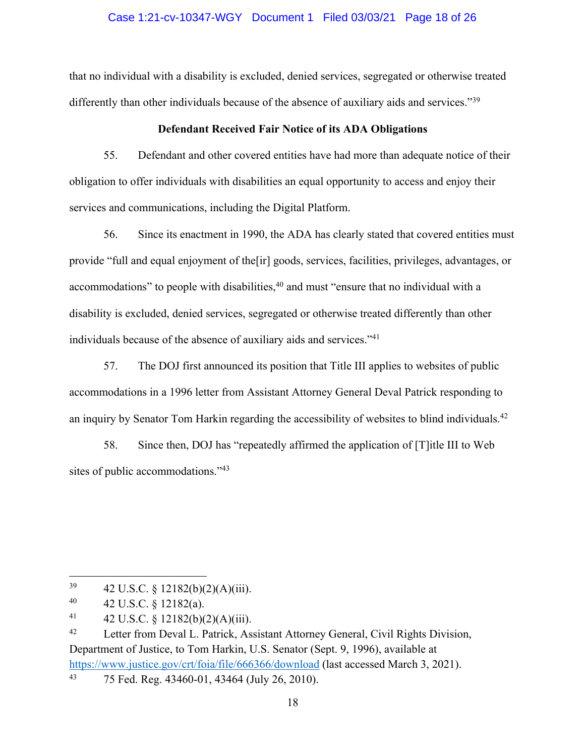## Case 1:21-cv-10347-WGY Document 1 Filed 03/03/21 Page 18 of 26

that no individual with a disability is excluded, denied services, segregated or otherwise treated differently than other individuals because of the absence of auxiliary aids and services."<sup>39</sup>

## **Defendant Received Fair Notice of its ADA Obligations**

55. Defendant and other covered entities have had more than adequate notice of their obligation to offer individuals with disabilities an equal opportunity to access and enjoy their services and communications, including the Digital Platform.

56. Since its enactment in 1990, the ADA has clearly stated that covered entities must provide "full and equal enjoyment of the[ir] goods, services, facilities, privileges, advantages, or accommodations" to people with disabilities,<sup>40</sup> and must "ensure that no individual with a disability is excluded, denied services, segregated or otherwise treated differently than other individuals because of the absence of auxiliary aids and services."41

57. The DOJ first announced its position that Title III applies to websites of public accommodations in a 1996 letter from Assistant Attorney General Deval Patrick responding to an inquiry by Senator Tom Harkin regarding the accessibility of websites to blind individuals.<sup>42</sup>

58. Since then, DOJ has "repeatedly affirmed the application of [T]itle III to Web sites of public accommodations."<sup>43</sup>

 $39$  42 U.S.C. § 12182(b)(2)(A)(iii).

 $^{40}$  42 U.S.C. § 12182(a).

<sup>41 42</sup> U.S.C. § 12182(b)(2)(A)(iii).

<sup>&</sup>lt;sup>42</sup> Letter from Deval L. Patrick, Assistant Attorney General, Civil Rights Division, Department of Justice, to Tom Harkin, U.S. Senator (Sept. 9, 1996), available at https://www.justice.gov/crt/foia/file/666366/download (last accessed March 3, 2021).

<sup>43</sup> 75 Fed. Reg. 43460-01, 43464 (July 26, 2010).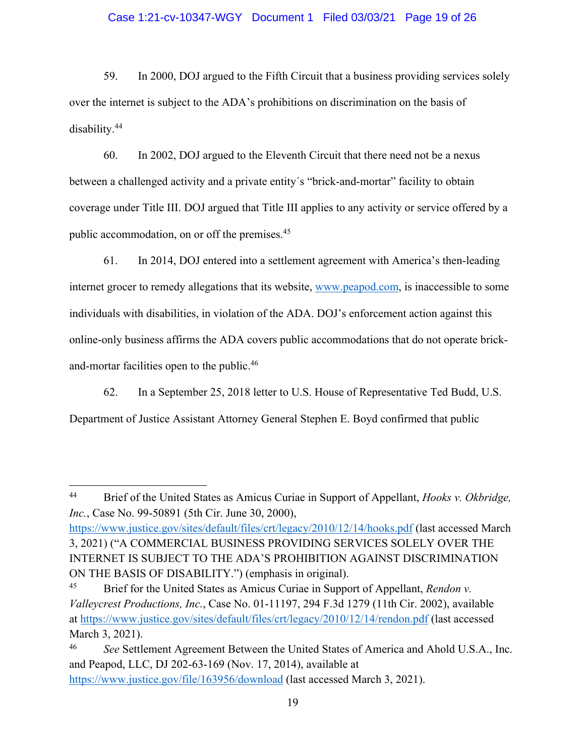## Case 1:21-cv-10347-WGY Document 1 Filed 03/03/21 Page 19 of 26

59. In 2000, DOJ argued to the Fifth Circuit that a business providing services solely over the internet is subject to the ADA's prohibitions on discrimination on the basis of disability.44

60. In 2002, DOJ argued to the Eleventh Circuit that there need not be a nexus between a challenged activity and a private entity's "brick-and-mortar" facility to obtain coverage under Title III. DOJ argued that Title III applies to any activity or service offered by a public accommodation, on or off the premises.45

61. In 2014, DOJ entered into a settlement agreement with America's then-leading internet grocer to remedy allegations that its website, www.peapod.com, is inaccessible to some individuals with disabilities, in violation of the ADA. DOJ's enforcement action against this online-only business affirms the ADA covers public accommodations that do not operate brickand-mortar facilities open to the public.46

62. In a September 25, 2018 letter to U.S. House of Representative Ted Budd, U.S.

Department of Justice Assistant Attorney General Stephen E. Boyd confirmed that public

<sup>44</sup> Brief of the United States as Amicus Curiae in Support of Appellant, *Hooks v. Okbridge, Inc.*, Case No. 99-50891 (5th Cir. June 30, 2000),

https://www.justice.gov/sites/default/files/crt/legacy/2010/12/14/hooks.pdf (last accessed March 3, 2021) ("A COMMERCIAL BUSINESS PROVIDING SERVICES SOLELY OVER THE INTERNET IS SUBJECT TO THE ADA'S PROHIBITION AGAINST DISCRIMINATION ON THE BASIS OF DISABILITY.") (emphasis in original).

<sup>45</sup> Brief for the United States as Amicus Curiae in Support of Appellant, *Rendon v. Valleycrest Productions, Inc.*, Case No. 01-11197, 294 F.3d 1279 (11th Cir. 2002), available at https://www.justice.gov/sites/default/files/crt/legacy/2010/12/14/rendon.pdf (last accessed March 3, 2021).

<sup>46</sup> *See* Settlement Agreement Between the United States of America and Ahold U.S.A., Inc. and Peapod, LLC, DJ 202-63-169 (Nov. 17, 2014), available at https://www.justice.gov/file/163956/download (last accessed March 3, 2021).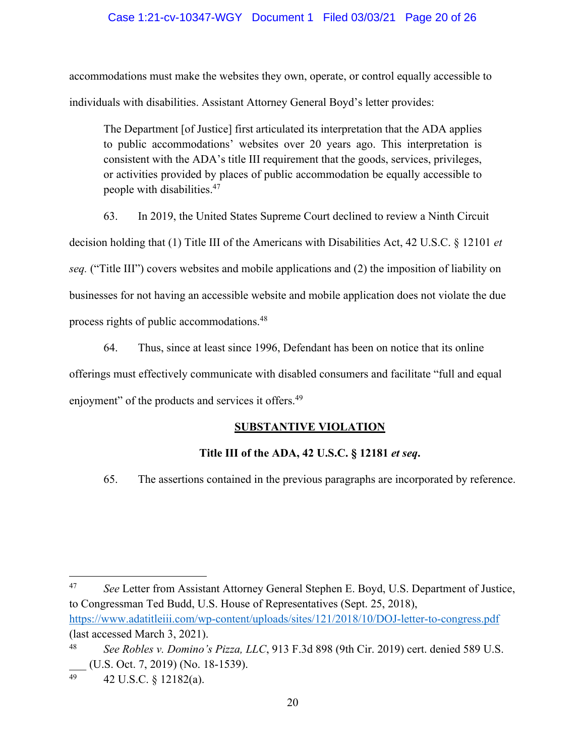## Case 1:21-cv-10347-WGY Document 1 Filed 03/03/21 Page 20 of 26

accommodations must make the websites they own, operate, or control equally accessible to individuals with disabilities. Assistant Attorney General Boyd's letter provides:

The Department [of Justice] first articulated its interpretation that the ADA applies to public accommodations' websites over 20 years ago. This interpretation is consistent with the ADA's title III requirement that the goods, services, privileges, or activities provided by places of public accommodation be equally accessible to people with disabilities. 47

63. In 2019, the United States Supreme Court declined to review a Ninth Circuit decision holding that (1) Title III of the Americans with Disabilities Act, 42 U.S.C. § 12101 *et seq.* ("Title III") covers websites and mobile applications and (2) the imposition of liability on businesses for not having an accessible website and mobile application does not violate the due process rights of public accommodations.48

64. Thus, since at least since 1996, Defendant has been on notice that its online offerings must effectively communicate with disabled consumers and facilitate "full and equal enjoyment" of the products and services it offers.<sup>49</sup>

# **SUBSTANTIVE VIOLATION**

# **Title III of the ADA, 42 U.S.C. § 12181** *et seq***.**

65. The assertions contained in the previous paragraphs are incorporated by reference.

<sup>47</sup> See Letter from Assistant Attorney General Stephen E. Boyd, U.S. Department of Justice, to Congressman Ted Budd, U.S. House of Representatives (Sept. 25, 2018), https://www.adatitleiii.com/wp-content/uploads/sites/121/2018/10/DOJ-letter-to-congress.pdf (last accessed March 3, 2021).

<sup>48</sup> *See Robles v. Domino's Pizza, LLC*, 913 F.3d 898 (9th Cir. 2019) cert. denied 589 U.S. \_\_\_ (U.S. Oct. 7, 2019) (No. 18-1539).

<sup>49 42</sup> U.S.C.  $\S$  12182(a).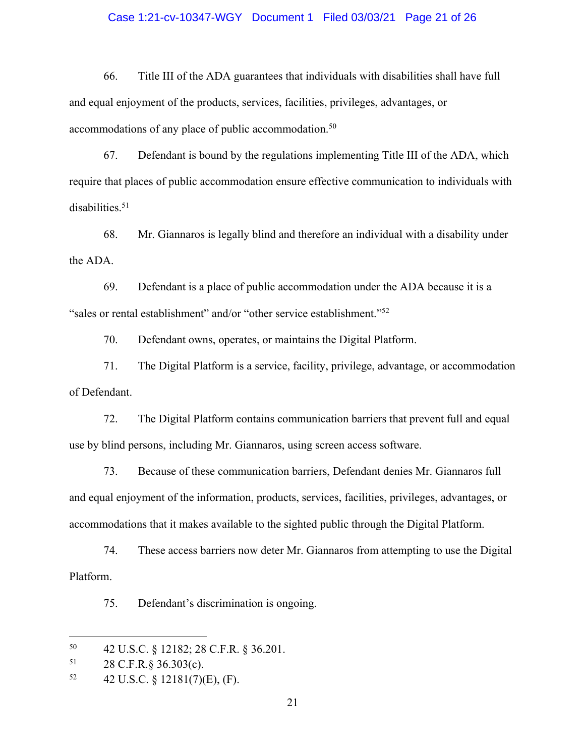### Case 1:21-cv-10347-WGY Document 1 Filed 03/03/21 Page 21 of 26

66. Title III of the ADA guarantees that individuals with disabilities shall have full and equal enjoyment of the products, services, facilities, privileges, advantages, or accommodations of any place of public accommodation.<sup>50</sup>

67. Defendant is bound by the regulations implementing Title III of the ADA, which require that places of public accommodation ensure effective communication to individuals with disabilities.<sup>51</sup>

68. Mr. Giannaros is legally blind and therefore an individual with a disability under the ADA.

69. Defendant is a place of public accommodation under the ADA because it is a "sales or rental establishment" and/or "other service establishment."52

70. Defendant owns, operates, or maintains the Digital Platform.

71. The Digital Platform is a service, facility, privilege, advantage, or accommodation of Defendant.

72. The Digital Platform contains communication barriers that prevent full and equal use by blind persons, including Mr. Giannaros, using screen access software.

73. Because of these communication barriers, Defendant denies Mr. Giannaros full and equal enjoyment of the information, products, services, facilities, privileges, advantages, or accommodations that it makes available to the sighted public through the Digital Platform.

74. These access barriers now deter Mr. Giannaros from attempting to use the Digital Platform.

75. Defendant's discrimination is ongoing.

<sup>50</sup> 42 U.S.C. § 12182; 28 C.F.R. § 36.201.

<sup>51</sup> 28 C.F.R.§ 36.303(c).

 $52 \qquad 42 \text{ U.S.C. } \S 12181(7)(\text{E}), (\text{F}).$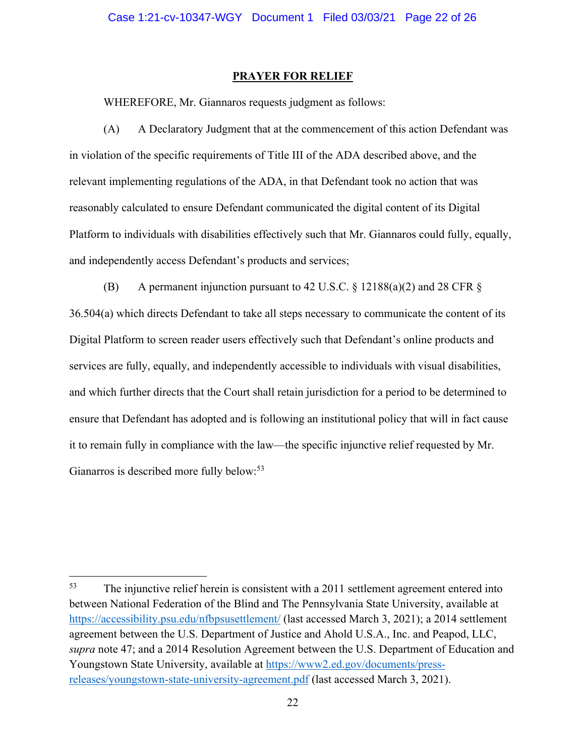#### **PRAYER FOR RELIEF**

WHEREFORE, Mr. Giannaros requests judgment as follows:

(A) A Declaratory Judgment that at the commencement of this action Defendant was in violation of the specific requirements of Title III of the ADA described above, and the relevant implementing regulations of the ADA, in that Defendant took no action that was reasonably calculated to ensure Defendant communicated the digital content of its Digital Platform to individuals with disabilities effectively such that Mr. Giannaros could fully, equally, and independently access Defendant's products and services;

(B) A permanent injunction pursuant to 42 U.S.C.  $\S$  12188(a)(2) and 28 CFR  $\S$ 36.504(a) which directs Defendant to take all steps necessary to communicate the content of its Digital Platform to screen reader users effectively such that Defendant's online products and services are fully, equally, and independently accessible to individuals with visual disabilities, and which further directs that the Court shall retain jurisdiction for a period to be determined to ensure that Defendant has adopted and is following an institutional policy that will in fact cause it to remain fully in compliance with the law—the specific injunctive relief requested by Mr. Gianarros is described more fully below:<sup>53</sup>

<sup>&</sup>lt;sup>53</sup> The injunctive relief herein is consistent with a 2011 settlement agreement entered into between National Federation of the Blind and The Pennsylvania State University, available at https://accessibility.psu.edu/nfbpsusettlement/ (last accessed March 3, 2021); a 2014 settlement agreement between the U.S. Department of Justice and Ahold U.S.A., Inc. and Peapod, LLC, *supra* note 47; and a 2014 Resolution Agreement between the U.S. Department of Education and Youngstown State University, available at https://www2.ed.gov/documents/pressreleases/youngstown-state-university-agreement.pdf (last accessed March 3, 2021).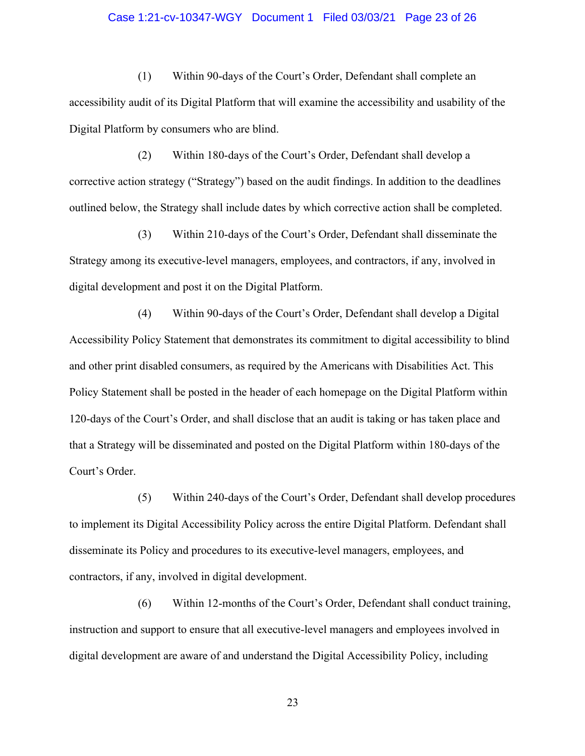#### Case 1:21-cv-10347-WGY Document 1 Filed 03/03/21 Page 23 of 26

(1) Within 90-days of the Court's Order, Defendant shall complete an accessibility audit of its Digital Platform that will examine the accessibility and usability of the Digital Platform by consumers who are blind.

(2) Within 180-days of the Court's Order, Defendant shall develop a corrective action strategy ("Strategy") based on the audit findings. In addition to the deadlines outlined below, the Strategy shall include dates by which corrective action shall be completed.

(3) Within 210-days of the Court's Order, Defendant shall disseminate the Strategy among its executive-level managers, employees, and contractors, if any, involved in digital development and post it on the Digital Platform.

(4) Within 90-days of the Court's Order, Defendant shall develop a Digital Accessibility Policy Statement that demonstrates its commitment to digital accessibility to blind and other print disabled consumers, as required by the Americans with Disabilities Act. This Policy Statement shall be posted in the header of each homepage on the Digital Platform within 120-days of the Court's Order, and shall disclose that an audit is taking or has taken place and that a Strategy will be disseminated and posted on the Digital Platform within 180-days of the Court's Order.

(5) Within 240-days of the Court's Order, Defendant shall develop procedures to implement its Digital Accessibility Policy across the entire Digital Platform. Defendant shall disseminate its Policy and procedures to its executive-level managers, employees, and contractors, if any, involved in digital development.

(6) Within 12-months of the Court's Order, Defendant shall conduct training, instruction and support to ensure that all executive-level managers and employees involved in digital development are aware of and understand the Digital Accessibility Policy, including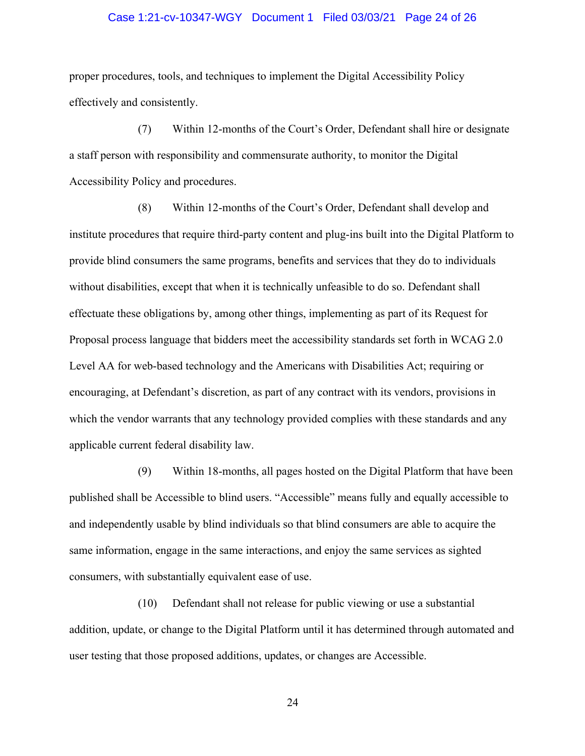#### Case 1:21-cv-10347-WGY Document 1 Filed 03/03/21 Page 24 of 26

proper procedures, tools, and techniques to implement the Digital Accessibility Policy effectively and consistently.

(7) Within 12-months of the Court's Order, Defendant shall hire or designate a staff person with responsibility and commensurate authority, to monitor the Digital Accessibility Policy and procedures.

(8) Within 12-months of the Court's Order, Defendant shall develop and institute procedures that require third-party content and plug-ins built into the Digital Platform to provide blind consumers the same programs, benefits and services that they do to individuals without disabilities, except that when it is technically unfeasible to do so. Defendant shall effectuate these obligations by, among other things, implementing as part of its Request for Proposal process language that bidders meet the accessibility standards set forth in WCAG 2.0 Level AA for web-based technology and the Americans with Disabilities Act; requiring or encouraging, at Defendant's discretion, as part of any contract with its vendors, provisions in which the vendor warrants that any technology provided complies with these standards and any applicable current federal disability law.

(9) Within 18-months, all pages hosted on the Digital Platform that have been published shall be Accessible to blind users. "Accessible" means fully and equally accessible to and independently usable by blind individuals so that blind consumers are able to acquire the same information, engage in the same interactions, and enjoy the same services as sighted consumers, with substantially equivalent ease of use.

(10) Defendant shall not release for public viewing or use a substantial addition, update, or change to the Digital Platform until it has determined through automated and user testing that those proposed additions, updates, or changes are Accessible.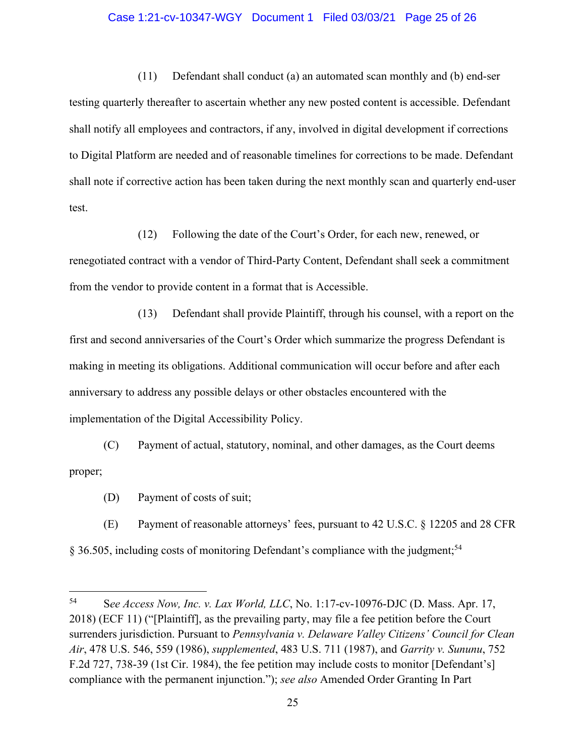#### Case 1:21-cv-10347-WGY Document 1 Filed 03/03/21 Page 25 of 26

(11) Defendant shall conduct (a) an automated scan monthly and (b) end-ser testing quarterly thereafter to ascertain whether any new posted content is accessible. Defendant shall notify all employees and contractors, if any, involved in digital development if corrections to Digital Platform are needed and of reasonable timelines for corrections to be made. Defendant shall note if corrective action has been taken during the next monthly scan and quarterly end-user test.

(12) Following the date of the Court's Order, for each new, renewed, or renegotiated contract with a vendor of Third-Party Content, Defendant shall seek a commitment from the vendor to provide content in a format that is Accessible.

(13) Defendant shall provide Plaintiff, through his counsel, with a report on the first and second anniversaries of the Court's Order which summarize the progress Defendant is making in meeting its obligations. Additional communication will occur before and after each anniversary to address any possible delays or other obstacles encountered with the implementation of the Digital Accessibility Policy.

(C) Payment of actual, statutory, nominal, and other damages, as the Court deems proper;

(D) Payment of costs of suit;

(E) Payment of reasonable attorneys' fees, pursuant to 42 U.S.C. § 12205 and 28 CFR § 36.505, including costs of monitoring Defendant's compliance with the judgment;<sup>54</sup>

<sup>54</sup> S*ee Access Now, Inc. v. Lax World, LLC*, No. 1:17-cv-10976-DJC (D. Mass. Apr. 17, 2018) (ECF 11) ("[Plaintiff], as the prevailing party, may file a fee petition before the Court surrenders jurisdiction. Pursuant to *Pennsylvania v. Delaware Valley Citizens' Council for Clean Air*, 478 U.S. 546, 559 (1986), *supplemented*, 483 U.S. 711 (1987), and *Garrity v. Sununu*, 752 F.2d 727, 738-39 (1st Cir. 1984), the fee petition may include costs to monitor [Defendant's] compliance with the permanent injunction."); *see also* Amended Order Granting In Part